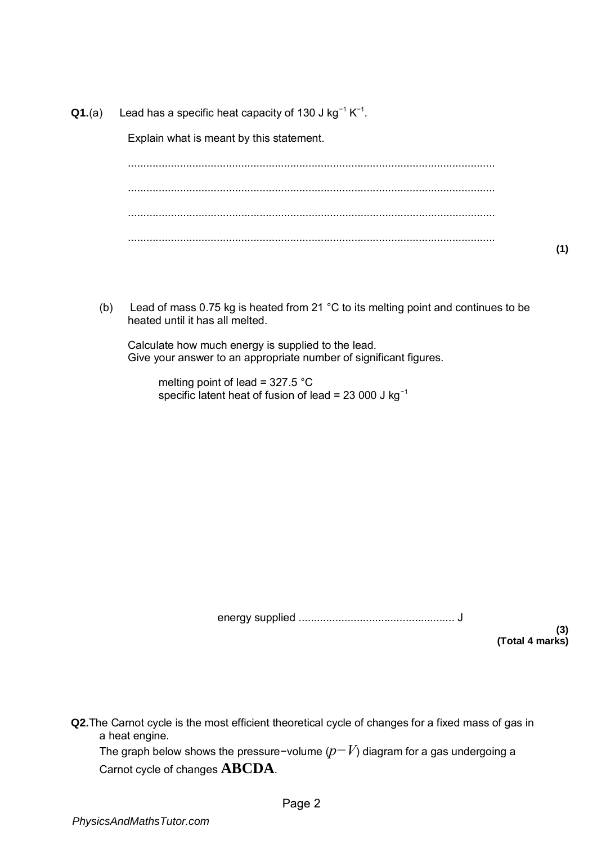## **Q1.**(a) Lead has a specific heat capacity of 130 J kg<sup>-1</sup> K<sup>-1</sup>.

Explain what is meant by this statement.

........................................................................................................................ ........................................................................................................................ ........................................................................................................................ ........................................................................................................................

(b) Lead of mass 0.75 kg is heated from 21 °C to its melting point and continues to be heated until it has all melted.

Calculate how much energy is supplied to the lead. Give your answer to an appropriate number of significant figures.

 melting point of lead = 327.5 °C specific latent heat of fusion of lead = 23 000 J kg<sup>-1</sup>

energy supplied ................................................... J

**(3) (Total 4 marks)** 

**Q2.**The Carnot cycle is the most efficient theoretical cycle of changes for a fixed mass of gas in a heat engine.

The graph below shows the pressure−volume (*p−V*) diagram for a gas undergoing a Carnot cycle of changes **ABCDA**.

**(1)**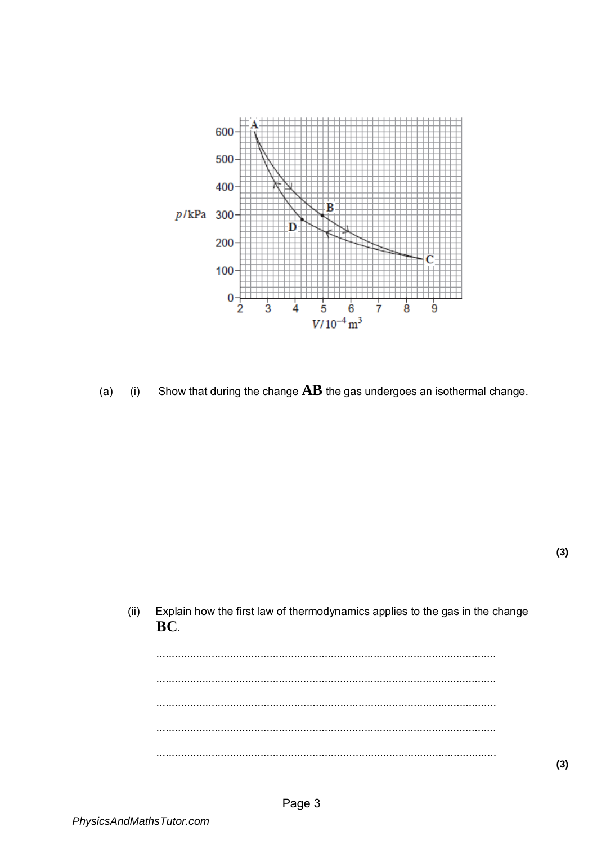

Show that during the change  $\mathbf{A}\mathbf{B}$  the gas undergoes an isothermal change.  $(a)$  $(i)$ 

 $(ii)$ Explain how the first law of thermodynamics applies to the gas in the change BC.  $1.1.1.1$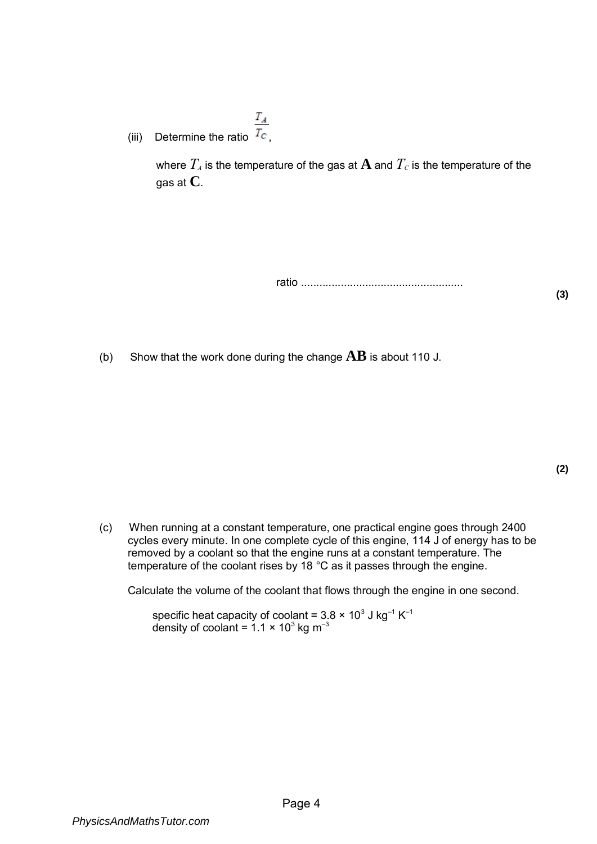- $T_A$
- (iii) Determine the ratio  $T_{\rm c}$ ,

where  $T_A$  is the temperature of the gas at  $A$  and  $T_C$  is the temperature of the gas at **C**.

ratio .....................................................

(b) Show that the work done during the change  $AB$  is about 110 J.

**(3)** 

(c) When running at a constant temperature, one practical engine goes through 2400 cycles every minute. In one complete cycle of this engine, 114 J of energy has to be removed by a coolant so that the engine runs at a constant temperature. The temperature of the coolant rises by 18 °C as it passes through the engine.

Calculate the volume of the coolant that flows through the engine in one second.

specific heat capacity of coolant = 3.8 × 10 $^3$  J kg $^{-1}$  K $^{-1}$ density of coolant = 1.1 × 10 $^3$  kg m $^{-3}$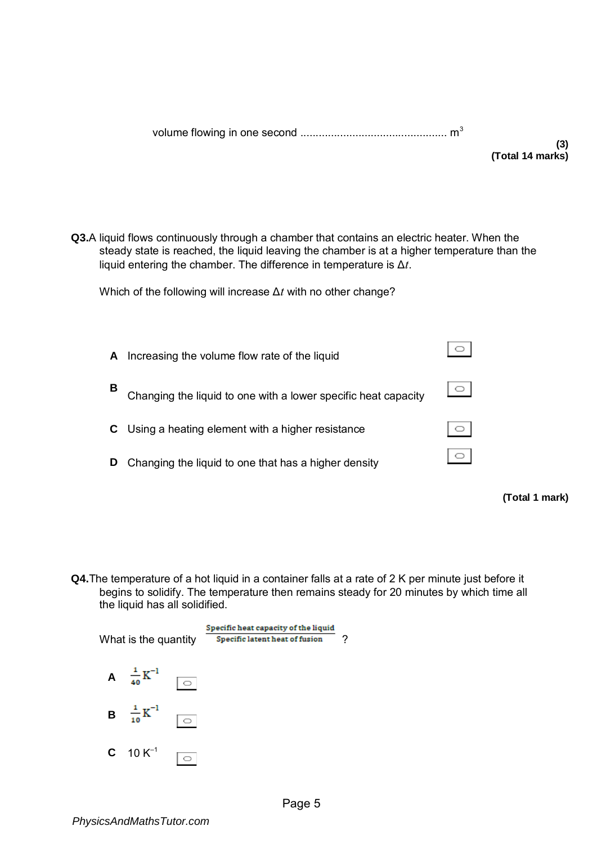|--|--|

**Q3.**A liquid flows continuously through a chamber that contains an electric heater. When the steady state is reached, the liquid leaving the chamber is at a higher temperature than the liquid entering the chamber. The difference in temperature is Δ*t*.

Which of the following will increase Δ*t* with no other change?

| A | Increasing the volume flow rate of the liquid                  |  |
|---|----------------------------------------------------------------|--|
| В | Changing the liquid to one with a lower specific heat capacity |  |
|   | Using a heating element with a higher resistance               |  |
| D | Changing the liquid to one that has a higher density           |  |
|   |                                                                |  |

**(Total 1 mark)** 

**Q4.**The temperature of a hot liquid in a container falls at a rate of 2 K per minute just before it begins to solidify. The temperature then remains steady for 20 minutes by which time all the liquid has all solidified.

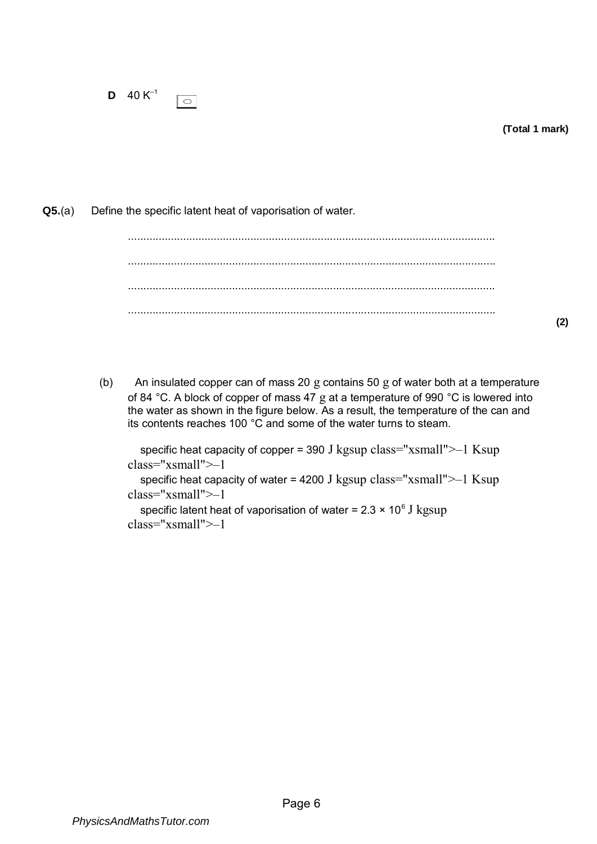**(Total 1 mark)** 

**Q5.**(a) Define the specific latent heat of vaporisation of water.

........................................................................................................................ ........................................................................................................................ ........................................................................................................................ ........................................................................................................................

**(2)** 

(b) An insulated copper can of mass 20 g contains 50 g of water both at a temperature of 84 °C. A block of copper of mass 47 g at a temperature of 990 °C is lowered into the water as shown in the figure below. As a result, the temperature of the can and its contents reaches 100 °C and some of the water turns to steam.

specific heat capacity of copper = 390 J kgsup class="xsmall" $\geq -1$  Ksup class="xsmall">–1

specific heat capacity of water = 4200 J kgsup class=" $x$ small" $\geq -1$  Ksup class="xsmall">–1

specific latent heat of vaporisation of water = 2.3  $\times$  10 $^6$  J  $\mathrm{kgsup}$ class="xsmall">–1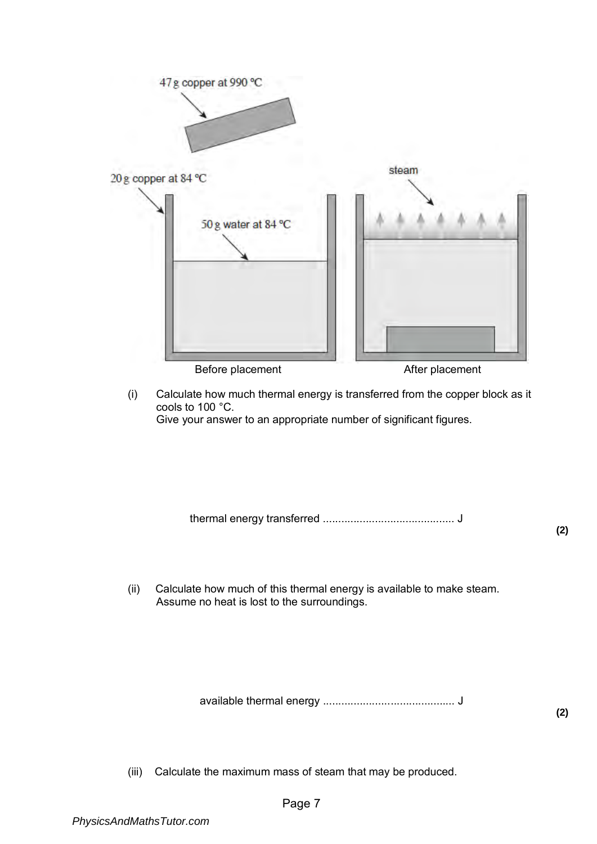

(i) Calculate how much thermal energy is transferred from the copper block as it cools to 100 °C. Give your answer to an appropriate number of significant figures.

thermal energy transferred ........................................... J

**(2)** 

(ii) Calculate how much of this thermal energy is available to make steam. Assume no heat is lost to the surroundings.

available thermal energy ........................................... J

**(2)** 

(iii) Calculate the maximum mass of steam that may be produced.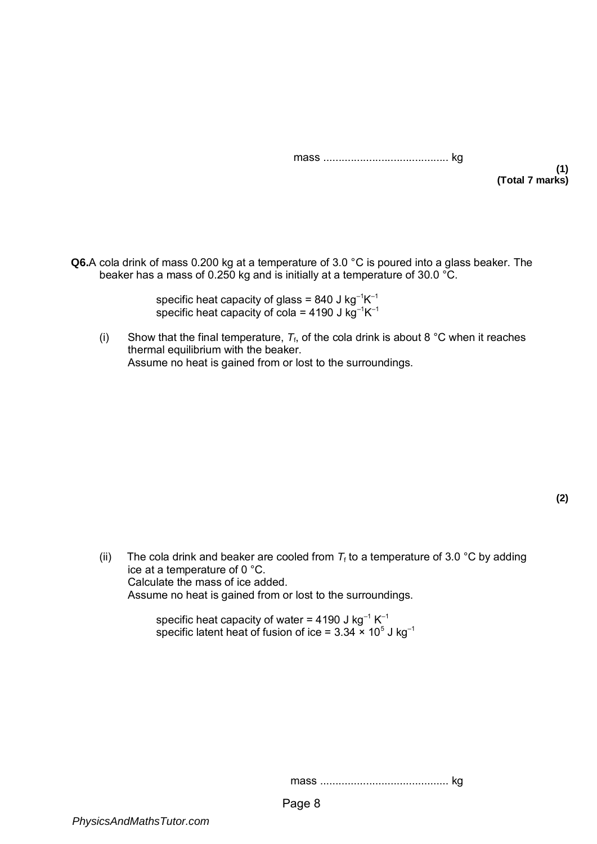|--|--|--|

**(1) (Total 7 marks)** 

**Q6.**A cola drink of mass 0.200 kg at a temperature of 3.0 °C is poured into a glass beaker. The beaker has a mass of 0.250 kg and is initially at a temperature of 30.0  $^{\circ}$ C.

> specific heat capacity of glass = 840 J kg $^{-1}$ K $^{-1}$ specific heat capacity of cola = 4190 J kg $^{-1}$ K $^{-1}$

(i) Show that the final temperature,  $T_f$ , of the cola drink is about 8 °C when it reaches thermal equilibrium with the beaker. Assume no heat is gained from or lost to the surroundings.

(ii) The cola drink and beaker are cooled from  $T_f$  to a temperature of 3.0 °C by adding ice at a temperature of 0 °C. Calculate the mass of ice added. Assume no heat is gained from or lost to the surroundings.

> specific heat capacity of water = 4190 J kg $^{-1}$  K $^{-1}$ specific latent heat of fusion of ice = 3.34 × 10 $^{\rm 5}$  J kg $^{\rm -1}$

> > mass .......................................... kg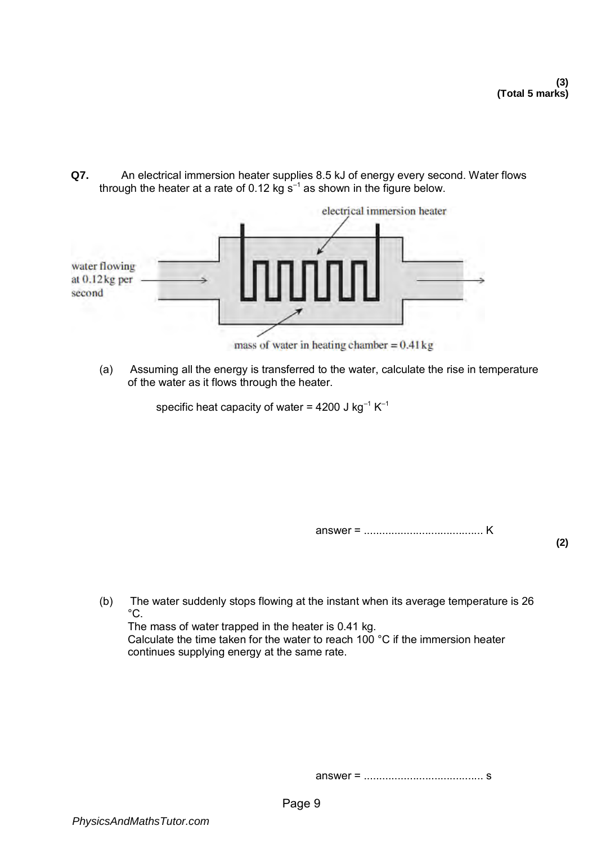**Q7.** An electrical immersion heater supplies 8.5 kJ of energy every second. Water flows through the heater at a rate of 0.12 kg  $s^{-1}$  as shown in the figure below.



(a) Assuming all the energy is transferred to the water, calculate the rise in temperature of the water as it flows through the heater.

specific heat capacity of water = 4200 J kg<sup>-1</sup>  $K^{-1}$ 

answer = ....................................... K

**(2)** 

(b) The water suddenly stops flowing at the instant when its average temperature is 26  $^{\circ}$ C.

The mass of water trapped in the heater is 0.41 kg. Calculate the time taken for the water to reach 100 °C if the immersion heater continues supplying energy at the same rate.

answer = ....................................... s